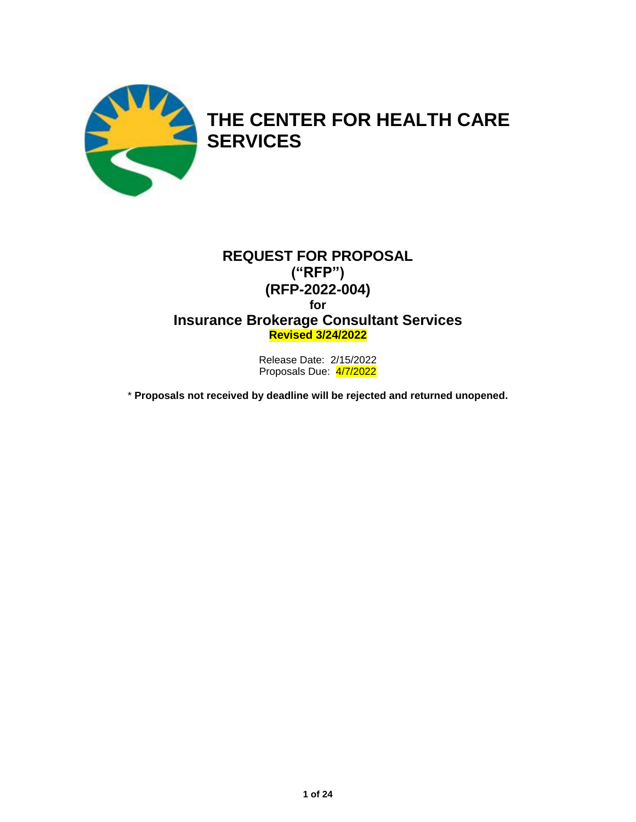

# **REQUEST FOR PROPOSAL ("RFP") (RFP-2022-004) for Insurance Brokerage Consultant Services Revised 3/24/2022**

Release Date: 2/15/2022 Proposals Due: 4/7/2022

\* **Proposals not received by deadline will be rejected and returned unopened.**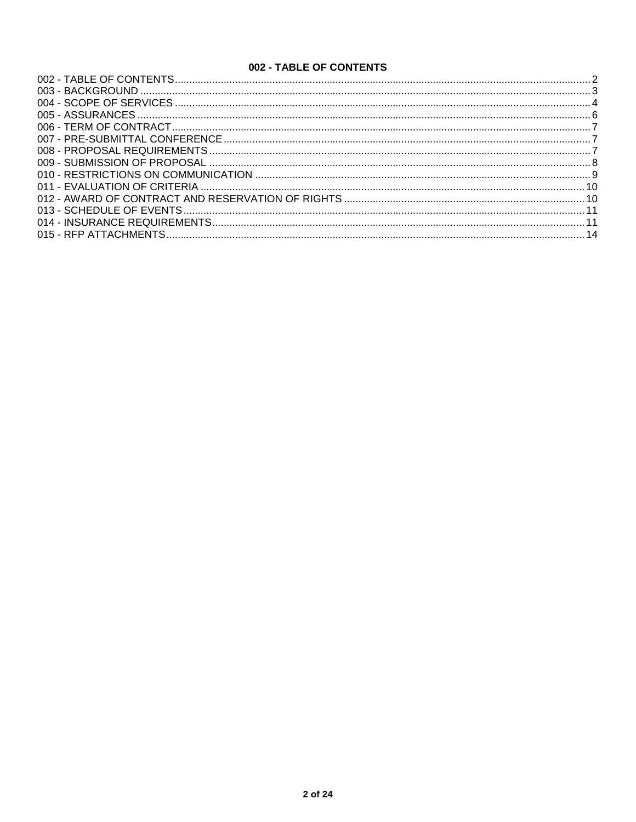# 002 - TABLE OF CONTENTS

<span id="page-1-0"></span>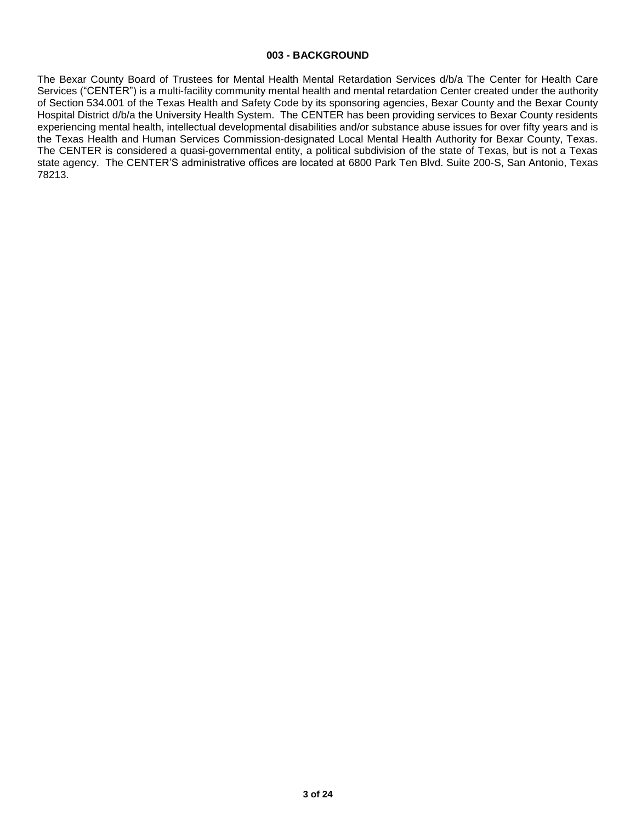#### **003 - BACKGROUND**

<span id="page-2-0"></span>The Bexar County Board of Trustees for Mental Health Mental Retardation Services d/b/a The Center for Health Care Services ("CENTER") is a multi-facility community mental health and mental retardation Center created under the authority of Section 534.001 of the Texas Health and Safety Code by its sponsoring agencies, Bexar County and the Bexar County Hospital District d/b/a the University Health System. The CENTER has been providing services to Bexar County residents experiencing mental health, intellectual developmental disabilities and/or substance abuse issues for over fifty years and is the Texas Health and Human Services Commission-designated Local Mental Health Authority for Bexar County, Texas. The CENTER is considered a quasi-governmental entity, a political subdivision of the state of Texas, but is not a Texas state agency. The CENTER'S administrative offices are located at 6800 Park Ten Blvd. Suite 200-S, San Antonio, Texas 78213.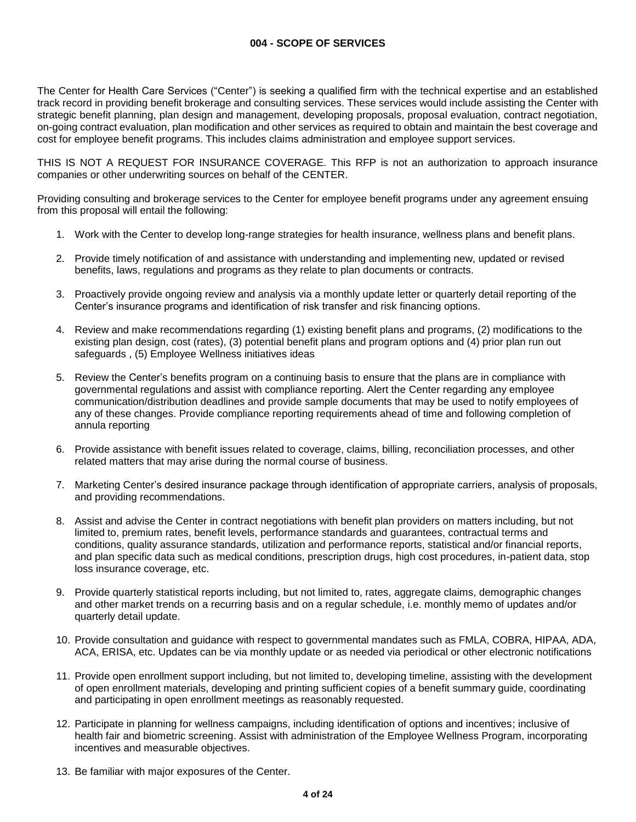<span id="page-3-0"></span>The Center for Health Care Services ("Center") is seeking a qualified firm with the technical expertise and an established track record in providing benefit brokerage and consulting services. These services would include assisting the Center with strategic benefit planning, plan design and management, developing proposals, proposal evaluation, contract negotiation, on-going contract evaluation, plan modification and other services as required to obtain and maintain the best coverage and cost for employee benefit programs. This includes claims administration and employee support services.

THIS IS NOT A REQUEST FOR INSURANCE COVERAGE. This RFP is not an authorization to approach insurance companies or other underwriting sources on behalf of the CENTER.

Providing consulting and brokerage services to the Center for employee benefit programs under any agreement ensuing from this proposal will entail the following:

- 1. Work with the Center to develop long-range strategies for health insurance, wellness plans and benefit plans.
- 2. Provide timely notification of and assistance with understanding and implementing new, updated or revised benefits, laws, regulations and programs as they relate to plan documents or contracts.
- 3. Proactively provide ongoing review and analysis via a monthly update letter or quarterly detail reporting of the Center's insurance programs and identification of risk transfer and risk financing options.
- 4. Review and make recommendations regarding (1) existing benefit plans and programs, (2) modifications to the existing plan design, cost (rates), (3) potential benefit plans and program options and (4) prior plan run out safeguards , (5) Employee Wellness initiatives ideas
- 5. Review the Center's benefits program on a continuing basis to ensure that the plans are in compliance with governmental regulations and assist with compliance reporting. Alert the Center regarding any employee communication/distribution deadlines and provide sample documents that may be used to notify employees of any of these changes. Provide compliance reporting requirements ahead of time and following completion of annula reporting
- 6. Provide assistance with benefit issues related to coverage, claims, billing, reconciliation processes, and other related matters that may arise during the normal course of business.
- 7. Marketing Center's desired insurance package through identification of appropriate carriers, analysis of proposals, and providing recommendations.
- 8. Assist and advise the Center in contract negotiations with benefit plan providers on matters including, but not limited to, premium rates, benefit levels, performance standards and guarantees, contractual terms and conditions, quality assurance standards, utilization and performance reports, statistical and/or financial reports, and plan specific data such as medical conditions, prescription drugs, high cost procedures, in-patient data, stop loss insurance coverage, etc.
- 9. Provide quarterly statistical reports including, but not limited to, rates, aggregate claims, demographic changes and other market trends on a recurring basis and on a regular schedule, i.e. monthly memo of updates and/or quarterly detail update.
- 10. Provide consultation and guidance with respect to governmental mandates such as FMLA, COBRA, HIPAA, ADA, ACA, ERISA, etc. Updates can be via monthly update or as needed via periodical or other electronic notifications
- 11. Provide open enrollment support including, but not limited to, developing timeline, assisting with the development of open enrollment materials, developing and printing sufficient copies of a benefit summary guide, coordinating and participating in open enrollment meetings as reasonably requested.
- 12. Participate in planning for wellness campaigns, including identification of options and incentives; inclusive of health fair and biometric screening. Assist with administration of the Employee Wellness Program, incorporating incentives and measurable objectives.
- 13. Be familiar with major exposures of the Center.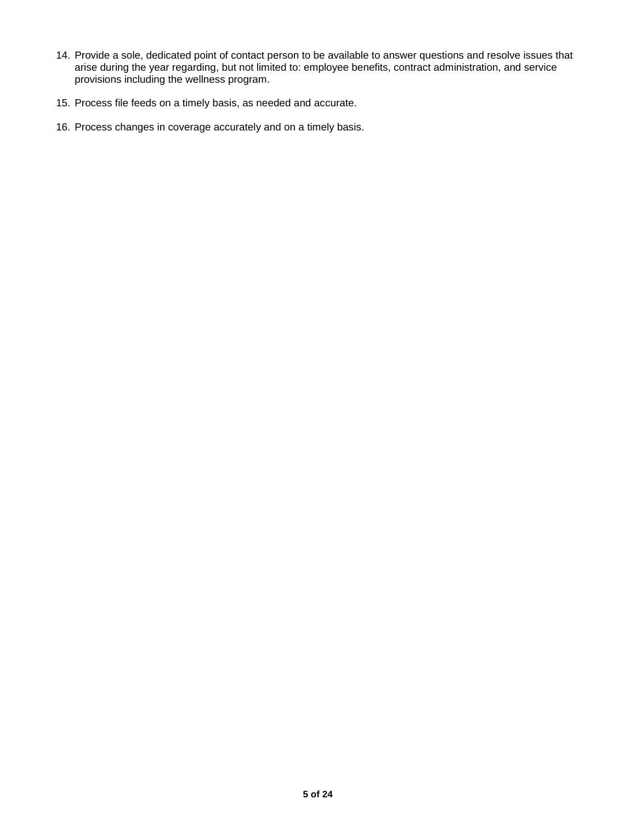- 14. Provide a sole, dedicated point of contact person to be available to answer questions and resolve issues that arise during the year regarding, but not limited to: employee benefits, contract administration, and service provisions including the wellness program.
- 15. Process file feeds on a timely basis, as needed and accurate.
- 16. Process changes in coverage accurately and on a timely basis.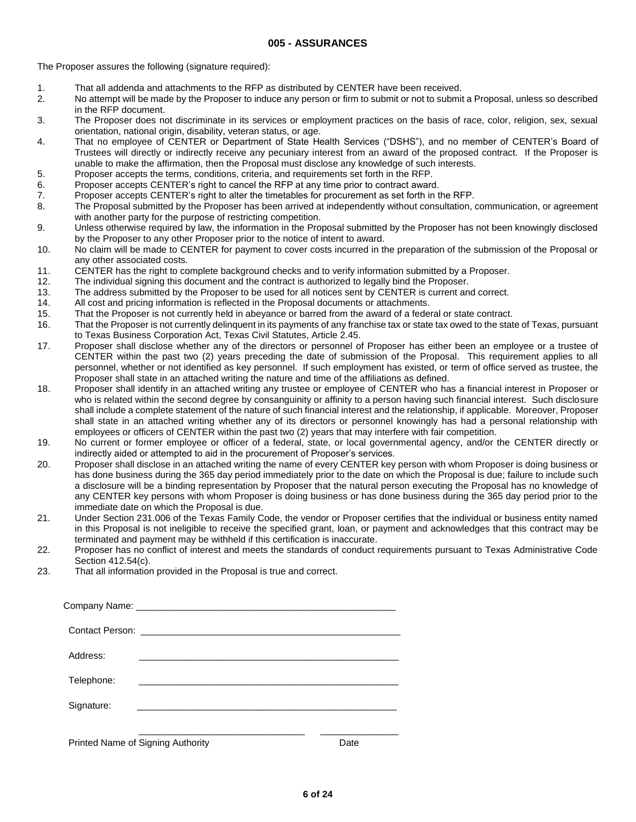<span id="page-5-0"></span>The Proposer assures the following (signature required):

- 1. That all addenda and attachments to the RFP as distributed by CENTER have been received.
- 2. No attempt will be made by the Proposer to induce any person or firm to submit or not to submit a Proposal, unless so described in the RFP document.
- 3. The Proposer does not discriminate in its services or employment practices on the basis of race, color, religion, sex, sexual orientation, national origin, disability, veteran status, or age.
- 4. That no employee of CENTER or Department of State Health Services ("DSHS"), and no member of CENTER's Board of Trustees will directly or indirectly receive any pecuniary interest from an award of the proposed contract. If the Proposer is unable to make the affirmation, then the Proposal must disclose any knowledge of such interests.
- 5. Proposer accepts the terms, conditions, criteria, and requirements set forth in the RFP.
- 6. Proposer accepts CENTER's right to cancel the RFP at any time prior to contract award.
- 7. Proposer accepts CENTER's right to alter the timetables for procurement as set forth in the RFP.
- 8. The Proposal submitted by the Proposer has been arrived at independently without consultation, communication, or agreement with another party for the purpose of restricting competition.
- 9. Unless otherwise required by law, the information in the Proposal submitted by the Proposer has not been knowingly disclosed by the Proposer to any other Proposer prior to the notice of intent to award.
- 10. No claim will be made to CENTER for payment to cover costs incurred in the preparation of the submission of the Proposal or any other associated costs.
- 11. CENTER has the right to complete background checks and to verify information submitted by a Proposer.
- 12. The individual signing this document and the contract is authorized to legally bind the Proposer.
- 13. The address submitted by the Proposer to be used for all notices sent by CENTER is current and correct.
- 14. All cost and pricing information is reflected in the Proposal documents or attachments.
- 15. That the Proposer is not currently held in abeyance or barred from the award of a federal or state contract.
- 16. That the Proposer is not currently delinquent in its payments of any franchise tax or state tax owed to the state of Texas, pursuant to Texas Business Corporation Act, Texas Civil Statutes, Article 2.45.
- 17. Proposer shall disclose whether any of the directors or personnel of Proposer has either been an employee or a trustee of CENTER within the past two (2) years preceding the date of submission of the Proposal. This requirement applies to all personnel, whether or not identified as key personnel. If such employment has existed, or term of office served as trustee, the Proposer shall state in an attached writing the nature and time of the affiliations as defined.
- 18. Proposer shall identify in an attached writing any trustee or employee of CENTER who has a financial interest in Proposer or who is related within the second degree by consanguinity or affinity to a person having such financial interest. Such disclosure shall include a complete statement of the nature of such financial interest and the relationship, if applicable. Moreover, Proposer shall state in an attached writing whether any of its directors or personnel knowingly has had a personal relationship with employees or officers of CENTER within the past two (2) years that may interfere with fair competition.
- 19. No current or former employee or officer of a federal, state, or local governmental agency, and/or the CENTER directly or indirectly aided or attempted to aid in the procurement of Proposer's services.
- 20. Proposer shall disclose in an attached writing the name of every CENTER key person with whom Proposer is doing business or has done business during the 365 day period immediately prior to the date on which the Proposal is due; failure to include such a disclosure will be a binding representation by Proposer that the natural person executing the Proposal has no knowledge of any CENTER key persons with whom Proposer is doing business or has done business during the 365 day period prior to the immediate date on which the Proposal is due.
- 21. Under Section 231.006 of the Texas Family Code, the vendor or Proposer certifies that the individual or business entity named in this Proposal is not ineligible to receive the specified grant, loan, or payment and acknowledges that this contract may be terminated and payment may be withheld if this certification is inaccurate.
- 22. Proposer has no conflict of interest and meets the standards of conduct requirements pursuant to Texas Administrative Code Section 412.54(c).
- 23. That all information provided in the Proposal is true and correct.

| Address:                                                                                                                            |      |  |
|-------------------------------------------------------------------------------------------------------------------------------------|------|--|
| Telephone:<br><u> 1989 - Johann Stoff, deutscher Stoff, der Stoff, der Stoff, der Stoff, der Stoff, der Stoff, der Stoff, der S</u> |      |  |
| Signature:<br><u> 1989 - Johann Stoff, deutscher Stoff, der Stoff, der Stoff, der Stoff, der Stoff, der Stoff, der Stoff, der S</u> |      |  |
|                                                                                                                                     |      |  |
| Printed Name of Signing Authority                                                                                                   | Date |  |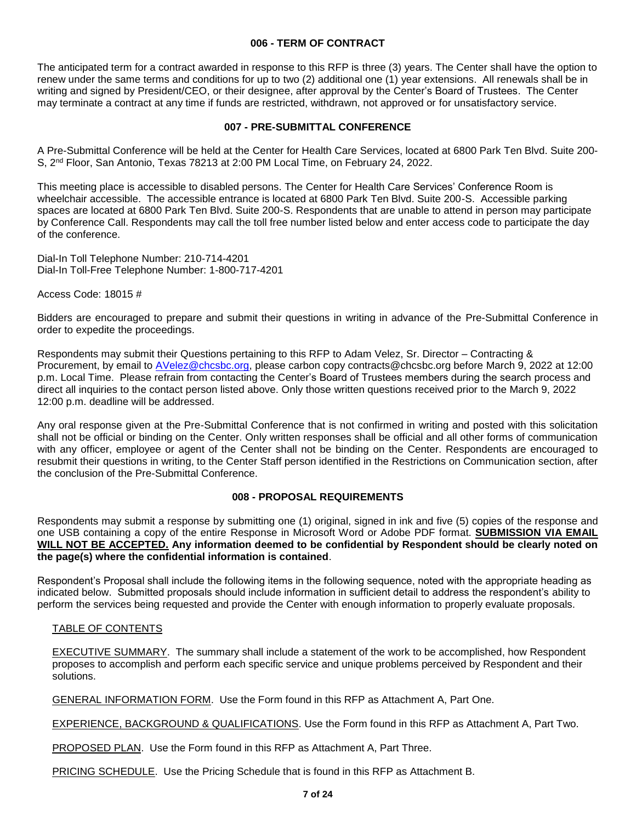## **006 - TERM OF CONTRACT**

<span id="page-6-0"></span>The anticipated term for a contract awarded in response to this RFP is three (3) years. The Center shall have the option to renew under the same terms and conditions for up to two (2) additional one (1) year extensions. All renewals shall be in writing and signed by President/CEO, or their designee, after approval by the Center's Board of Trustees. The Center may terminate a contract at any time if funds are restricted, withdrawn, not approved or for unsatisfactory service.

## **007 - PRE-SUBMITTAL CONFERENCE**

<span id="page-6-1"></span>A Pre-Submittal Conference will be held at the Center for Health Care Services, located at 6800 Park Ten Blvd. Suite 200- S, 2nd Floor, San Antonio, Texas 78213 at 2:00 PM Local Time, on February 24, 2022.

This meeting place is accessible to disabled persons. The Center for Health Care Services' Conference Room is wheelchair accessible. The accessible entrance is located at 6800 Park Ten Blvd. Suite 200-S. Accessible parking spaces are located at 6800 Park Ten Blvd. Suite 200-S. Respondents that are unable to attend in person may participate by Conference Call. Respondents may call the toll free number listed below and enter access code to participate the day of the conference.

Dial-In Toll Telephone Number: 210-714-4201 Dial-In Toll-Free Telephone Number: 1-800-717-4201

Access Code: 18015 #

Bidders are encouraged to prepare and submit their questions in writing in advance of the Pre-Submittal Conference in order to expedite the proceedings.

Respondents may submit their Questions pertaining to this RFP to Adam Velez, Sr. Director – Contracting & Procurement, by email to [AVelez@chcsbc.org,](mailto:AVelez@chcsbc.org) please carbon copy contracts@chcsbc.org before March 9, 2022 at 12:00 p.m. Local Time. Please refrain from contacting the Center's Board of Trustees members during the search process and direct all inquiries to the contact person listed above. Only those written questions received prior to the March 9, 2022 12:00 p.m. deadline will be addressed.

Any oral response given at the Pre-Submittal Conference that is not confirmed in writing and posted with this solicitation shall not be official or binding on the Center. Only written responses shall be official and all other forms of communication with any officer, employee or agent of the Center shall not be binding on the Center. Respondents are encouraged to resubmit their questions in writing, to the Center Staff person identified in the Restrictions on Communication section, after the conclusion of the Pre-Submittal Conference.

# **008 - PROPOSAL REQUIREMENTS**

<span id="page-6-2"></span>Respondents may submit a response by submitting one (1) original, signed in ink and five (5) copies of the response and one USB containing a copy of the entire Response in Microsoft Word or Adobe PDF format. **SUBMISSION VIA EMAIL WILL NOT BE ACCEPTED. Any information deemed to be confidential by Respondent should be clearly noted on the page(s) where the confidential information is contained**.

Respondent's Proposal shall include the following items in the following sequence, noted with the appropriate heading as indicated below. Submitted proposals should include information in sufficient detail to address the respondent's ability to perform the services being requested and provide the Center with enough information to properly evaluate proposals.

## TABLE OF CONTENTS

EXECUTIVE SUMMARY. The summary shall include a statement of the work to be accomplished, how Respondent proposes to accomplish and perform each specific service and unique problems perceived by Respondent and their solutions.

GENERAL INFORMATION FORM. Use the Form found in this RFP as Attachment A, Part One.

EXPERIENCE, BACKGROUND & QUALIFICATIONS. Use the Form found in this RFP as Attachment A, Part Two.

PROPOSED PLAN. Use the Form found in this RFP as Attachment A, Part Three.

PRICING SCHEDULE. Use the Pricing Schedule that is found in this RFP as Attachment B.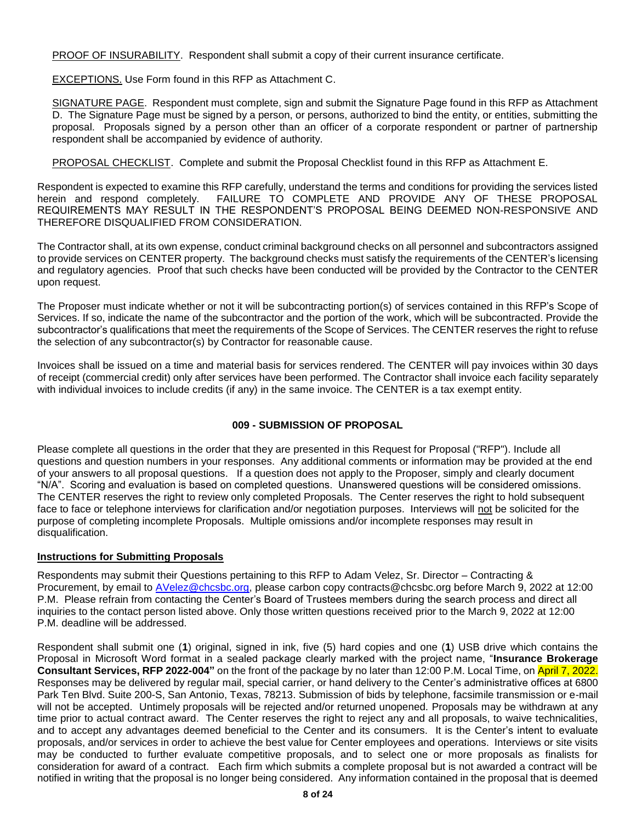PROOF OF INSURABILITY. Respondent shall submit a copy of their current insurance certificate.

EXCEPTIONS. Use Form found in this RFP as Attachment C.

SIGNATURE PAGE. Respondent must complete, sign and submit the Signature Page found in this RFP as Attachment D. The Signature Page must be signed by a person, or persons, authorized to bind the entity, or entities, submitting the proposal. Proposals signed by a person other than an officer of a corporate respondent or partner of partnership respondent shall be accompanied by evidence of authority.

PROPOSAL CHECKLIST. Complete and submit the Proposal Checklist found in this RFP as Attachment E.

Respondent is expected to examine this RFP carefully, understand the terms and conditions for providing the services listed herein and respond completely. FAILURE TO COMPLETE AND PROVIDE ANY OF THESE PROPOSAL REQUIREMENTS MAY RESULT IN THE RESPONDENT'S PROPOSAL BEING DEEMED NON-RESPONSIVE AND THEREFORE DISQUALIFIED FROM CONSIDERATION.

The Contractor shall, at its own expense, conduct criminal background checks on all personnel and subcontractors assigned to provide services on CENTER property. The background checks must satisfy the requirements of the CENTER's licensing and regulatory agencies. Proof that such checks have been conducted will be provided by the Contractor to the CENTER upon request.

The Proposer must indicate whether or not it will be subcontracting portion(s) of services contained in this RFP's Scope of Services. If so, indicate the name of the subcontractor and the portion of the work, which will be subcontracted. Provide the subcontractor's qualifications that meet the requirements of the Scope of Services. The CENTER reserves the right to refuse the selection of any subcontractor(s) by Contractor for reasonable cause.

Invoices shall be issued on a time and material basis for services rendered. The CENTER will pay invoices within 30 days of receipt (commercial credit) only after services have been performed. The Contractor shall invoice each facility separately with individual invoices to include credits (if any) in the same invoice. The CENTER is a tax exempt entity.

# **009 - SUBMISSION OF PROPOSAL**

<span id="page-7-0"></span>Please complete all questions in the order that they are presented in this Request for Proposal ("RFP"). Include all questions and question numbers in your responses. Any additional comments or information may be provided at the end of your answers to all proposal questions. If a question does not apply to the Proposer, simply and clearly document "N/A". Scoring and evaluation is based on completed questions. Unanswered questions will be considered omissions. The CENTER reserves the right to review only completed Proposals. The Center reserves the right to hold subsequent face to face or telephone interviews for clarification and/or negotiation purposes. Interviews will not be solicited for the purpose of completing incomplete Proposals. Multiple omissions and/or incomplete responses may result in disqualification.

## **Instructions for Submitting Proposals**

Respondents may submit their Questions pertaining to this RFP to Adam Velez, Sr. Director – Contracting & Procurement, by email to **AVelez@chcsbc.org**, please carbon copy contracts@chcsbc.org before March 9, 2022 at 12:00 P.M. Please refrain from contacting the Center's Board of Trustees members during the search process and direct all inquiries to the contact person listed above. Only those written questions received prior to the March 9, 2022 at 12:00 P.M. deadline will be addressed.

Respondent shall submit one (**1**) original, signed in ink, five (5) hard copies and one (**1**) USB drive which contains the Proposal in Microsoft Word format in a sealed package clearly marked with the project name, "**Insurance Brokerage Consultant Services, RFP 2022-004"** on the front of the package by no later than 12:00 P.M. Local Time, on April 7, 2022. Responses may be delivered by regular mail, special carrier, or hand delivery to the Center's administrative offices at 6800 Park Ten Blvd. Suite 200-S, San Antonio, Texas, 78213. Submission of bids by telephone, facsimile transmission or e-mail will not be accepted. Untimely proposals will be rejected and/or returned unopened. Proposals may be withdrawn at any time prior to actual contract award. The Center reserves the right to reject any and all proposals, to waive technicalities, and to accept any advantages deemed beneficial to the Center and its consumers. It is the Center's intent to evaluate proposals, and/or services in order to achieve the best value for Center employees and operations. Interviews or site visits may be conducted to further evaluate competitive proposals, and to select one or more proposals as finalists for consideration for award of a contract. Each firm which submits a complete proposal but is not awarded a contract will be notified in writing that the proposal is no longer being considered. Any information contained in the proposal that is deemed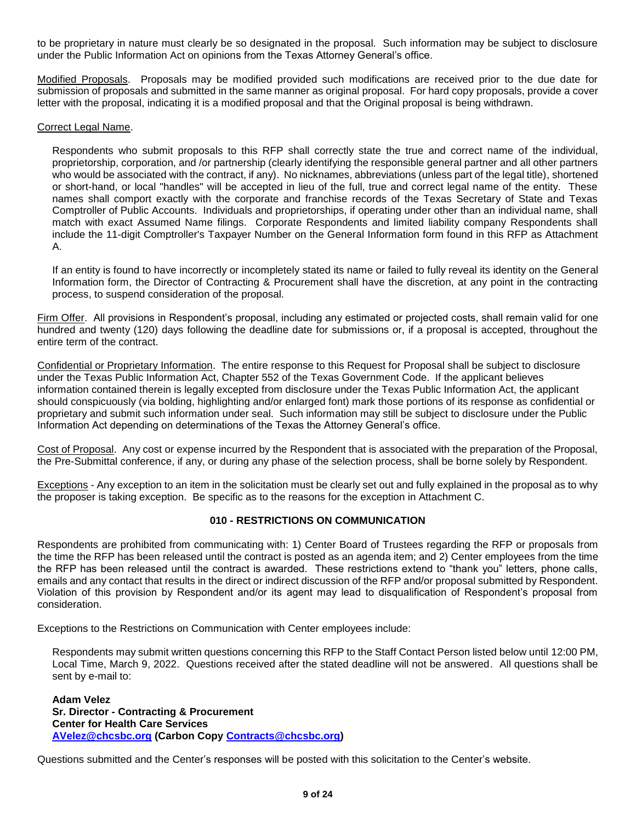to be proprietary in nature must clearly be so designated in the proposal. Such information may be subject to disclosure under the Public Information Act on opinions from the Texas Attorney General's office.

Modified Proposals. Proposals may be modified provided such modifications are received prior to the due date for submission of proposals and submitted in the same manner as original proposal. For hard copy proposals, provide a cover letter with the proposal, indicating it is a modified proposal and that the Original proposal is being withdrawn.

# Correct Legal Name.

Respondents who submit proposals to this RFP shall correctly state the true and correct name of the individual, proprietorship, corporation, and /or partnership (clearly identifying the responsible general partner and all other partners who would be associated with the contract, if any). No nicknames, abbreviations (unless part of the legal title), shortened or short-hand, or local "handles" will be accepted in lieu of the full, true and correct legal name of the entity. These names shall comport exactly with the corporate and franchise records of the Texas Secretary of State and Texas Comptroller of Public Accounts. Individuals and proprietorships, if operating under other than an individual name, shall match with exact Assumed Name filings. Corporate Respondents and limited liability company Respondents shall include the 11-digit Comptroller's Taxpayer Number on the General Information form found in this RFP as Attachment A.

If an entity is found to have incorrectly or incompletely stated its name or failed to fully reveal its identity on the General Information form, the Director of Contracting & Procurement shall have the discretion, at any point in the contracting process, to suspend consideration of the proposal.

Firm Offer. All provisions in Respondent's proposal, including any estimated or projected costs, shall remain valid for one hundred and twenty (120) days following the deadline date for submissions or, if a proposal is accepted, throughout the entire term of the contract.

Confidential or Proprietary Information. The entire response to this Request for Proposal shall be subject to disclosure under the Texas Public Information Act, Chapter 552 of the Texas Government Code. If the applicant believes information contained therein is legally excepted from disclosure under the Texas Public Information Act, the applicant should conspicuously (via bolding, highlighting and/or enlarged font) mark those portions of its response as confidential or proprietary and submit such information under seal. Such information may still be subject to disclosure under the Public Information Act depending on determinations of the Texas the Attorney General's office.

Cost of Proposal. Any cost or expense incurred by the Respondent that is associated with the preparation of the Proposal, the Pre-Submittal conference, if any, or during any phase of the selection process, shall be borne solely by Respondent.

Exceptions - Any exception to an item in the solicitation must be clearly set out and fully explained in the proposal as to why the proposer is taking exception. Be specific as to the reasons for the exception in Attachment C.

# **010 - RESTRICTIONS ON COMMUNICATION**

<span id="page-8-0"></span>Respondents are prohibited from communicating with: 1) Center Board of Trustees regarding the RFP or proposals from the time the RFP has been released until the contract is posted as an agenda item; and 2) Center employees from the time the RFP has been released until the contract is awarded. These restrictions extend to "thank you" letters, phone calls, emails and any contact that results in the direct or indirect discussion of the RFP and/or proposal submitted by Respondent. Violation of this provision by Respondent and/or its agent may lead to disqualification of Respondent's proposal from consideration.

Exceptions to the Restrictions on Communication with Center employees include:

Respondents may submit written questions concerning this RFP to the Staff Contact Person listed below until 12:00 PM, Local Time, March 9, 2022. Questions received after the stated deadline will not be answered. All questions shall be sent by e-mail to:

**Adam Velez Sr. Director - Contracting & Procurement Center for Health Care Services [AVelez@chcsbc.org](mailto:AVelez@chcsbc.org) (Carbon Copy [Contracts@chcsbc.org\)](mailto:Contracts@chcsbc.org)**

Questions submitted and the Center's responses will be posted with this solicitation to the Center's website.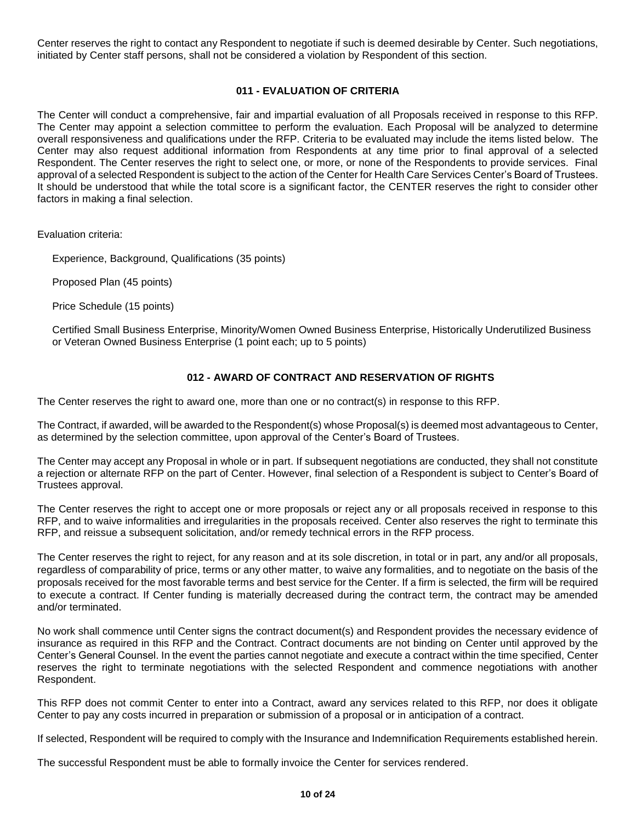Center reserves the right to contact any Respondent to negotiate if such is deemed desirable by Center. Such negotiations, initiated by Center staff persons, shall not be considered a violation by Respondent of this section.

# **011 - EVALUATION OF CRITERIA**

<span id="page-9-0"></span>The Center will conduct a comprehensive, fair and impartial evaluation of all Proposals received in response to this RFP. The Center may appoint a selection committee to perform the evaluation. Each Proposal will be analyzed to determine overall responsiveness and qualifications under the RFP. Criteria to be evaluated may include the items listed below. The Center may also request additional information from Respondents at any time prior to final approval of a selected Respondent. The Center reserves the right to select one, or more, or none of the Respondents to provide services. Final approval of a selected Respondent is subject to the action of the Center for Health Care Services Center's Board of Trustees. It should be understood that while the total score is a significant factor, the CENTER reserves the right to consider other factors in making a final selection.

Evaluation criteria:

Experience, Background, Qualifications (35 points)

Proposed Plan (45 points)

Price Schedule (15 points)

Certified Small Business Enterprise, Minority/Women Owned Business Enterprise, Historically Underutilized Business or Veteran Owned Business Enterprise (1 point each; up to 5 points)

# **012 - AWARD OF CONTRACT AND RESERVATION OF RIGHTS**

<span id="page-9-1"></span>The Center reserves the right to award one, more than one or no contract(s) in response to this RFP.

The Contract, if awarded, will be awarded to the Respondent(s) whose Proposal(s) is deemed most advantageous to Center, as determined by the selection committee, upon approval of the Center's Board of Trustees.

The Center may accept any Proposal in whole or in part. If subsequent negotiations are conducted, they shall not constitute a rejection or alternate RFP on the part of Center. However, final selection of a Respondent is subject to Center's Board of Trustees approval.

The Center reserves the right to accept one or more proposals or reject any or all proposals received in response to this RFP, and to waive informalities and irregularities in the proposals received. Center also reserves the right to terminate this RFP, and reissue a subsequent solicitation, and/or remedy technical errors in the RFP process.

The Center reserves the right to reject, for any reason and at its sole discretion, in total or in part, any and/or all proposals, regardless of comparability of price, terms or any other matter, to waive any formalities, and to negotiate on the basis of the proposals received for the most favorable terms and best service for the Center. If a firm is selected, the firm will be required to execute a contract. If Center funding is materially decreased during the contract term, the contract may be amended and/or terminated.

No work shall commence until Center signs the contract document(s) and Respondent provides the necessary evidence of insurance as required in this RFP and the Contract. Contract documents are not binding on Center until approved by the Center's General Counsel. In the event the parties cannot negotiate and execute a contract within the time specified, Center reserves the right to terminate negotiations with the selected Respondent and commence negotiations with another Respondent.

This RFP does not commit Center to enter into a Contract, award any services related to this RFP, nor does it obligate Center to pay any costs incurred in preparation or submission of a proposal or in anticipation of a contract.

If selected, Respondent will be required to comply with the Insurance and Indemnification Requirements established herein.

The successful Respondent must be able to formally invoice the Center for services rendered.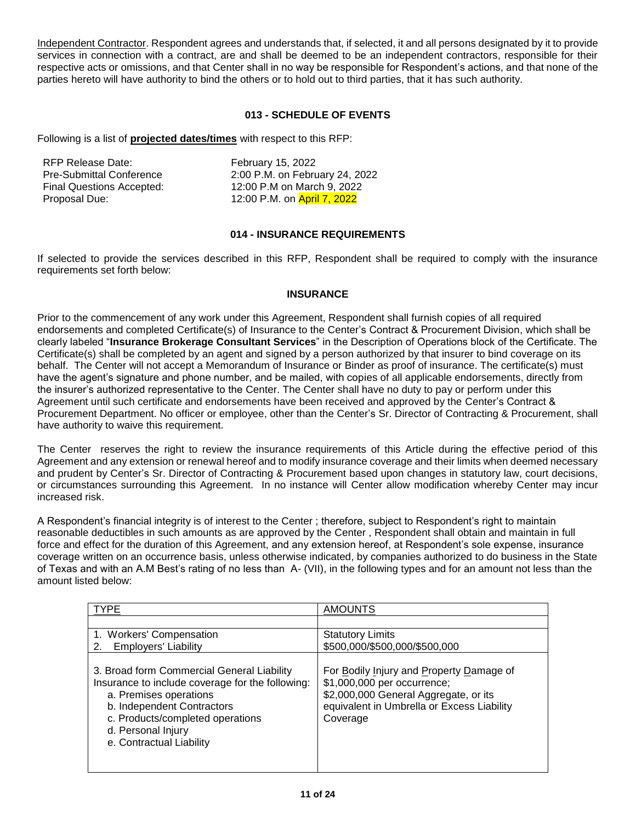Independent Contractor. Respondent agrees and understands that, if selected, it and all persons designated by it to provide services in connection with a contract, are and shall be deemed to be an independent contractors, responsible for their respective acts or omissions, and that Center shall in no way be responsible for Respondent's actions, and that none of the parties hereto will have authority to bind the others or to hold out to third parties, that it has such authority.

# **013 - SCHEDULE OF EVENTS**

<span id="page-10-0"></span>Following is a list of **projected dates/times** with respect to this RFP:

| RFP Release Date:                | February 15, 2022              |
|----------------------------------|--------------------------------|
| <b>Pre-Submittal Conference</b>  | 2:00 P.M. on February 24, 2022 |
| <b>Final Questions Accepted:</b> | 12:00 P.M on March 9, 2022     |
| Proposal Due:                    | 12:00 P.M. on April 7, 2022    |

# **014 - INSURANCE REQUIREMENTS**

<span id="page-10-1"></span>If selected to provide the services described in this RFP, Respondent shall be required to comply with the insurance requirements set forth below:

# **INSURANCE**

Prior to the commencement of any work under this Agreement, Respondent shall furnish copies of all required endorsements and completed Certificate(s) of Insurance to the Center's Contract & Procurement Division, which shall be clearly labeled "**Insurance Brokerage Consultant Services**" in the Description of Operations block of the Certificate. The Certificate(s) shall be completed by an agent and signed by a person authorized by that insurer to bind coverage on its behalf. The Center will not accept a Memorandum of Insurance or Binder as proof of insurance. The certificate(s) must have the agent's signature and phone number, and be mailed, with copies of all applicable endorsements, directly from the insurer's authorized representative to the Center. The Center shall have no duty to pay or perform under this Agreement until such certificate and endorsements have been received and approved by the Center's Contract & Procurement Department. No officer or employee, other than the Center's Sr. Director of Contracting & Procurement, shall have authority to waive this requirement.

The Center reserves the right to review the insurance requirements of this Article during the effective period of this Agreement and any extension or renewal hereof and to modify insurance coverage and their limits when deemed necessary and prudent by Center's Sr. Director of Contracting & Procurement based upon changes in statutory law, court decisions, or circumstances surrounding this Agreement. In no instance will Center allow modification whereby Center may incur increased risk.

A Respondent's financial integrity is of interest to the Center ; therefore, subject to Respondent's right to maintain reasonable deductibles in such amounts as are approved by the Center , Respondent shall obtain and maintain in full force and effect for the duration of this Agreement, and any extension hereof, at Respondent's sole expense, insurance coverage written on an occurrence basis, unless otherwise indicated, by companies authorized to do business in the State of Texas and with an A.M Best's rating of no less than A- (VII), in the following types and for an amount not less than the amount listed below:

| <b>TYPE</b>                                                                                                                                                                                                                                  | <b>AMOUNTS</b>                                                                                                                                                             |
|----------------------------------------------------------------------------------------------------------------------------------------------------------------------------------------------------------------------------------------------|----------------------------------------------------------------------------------------------------------------------------------------------------------------------------|
|                                                                                                                                                                                                                                              |                                                                                                                                                                            |
| 1. Workers' Compensation                                                                                                                                                                                                                     | <b>Statutory Limits</b>                                                                                                                                                    |
| <b>Employers' Liability</b><br>2.                                                                                                                                                                                                            | \$500,000/\$500,000/\$500,000                                                                                                                                              |
| 3. Broad form Commercial General Liability<br>Insurance to include coverage for the following:<br>a. Premises operations<br>b. Independent Contractors<br>c. Products/completed operations<br>d. Personal Injury<br>e. Contractual Liability | For Bodily Injury and Property Damage of<br>\$1,000,000 per occurrence;<br>\$2,000,000 General Aggregate, or its<br>equivalent in Umbrella or Excess Liability<br>Coverage |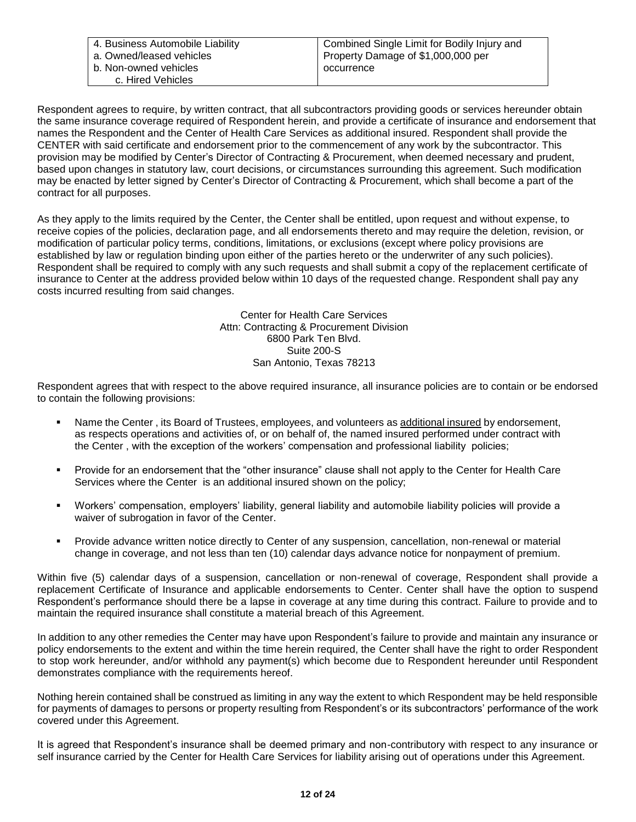| 4. Business Automobile Liability | Combined Single Limit for Bodily Injury and |
|----------------------------------|---------------------------------------------|
| a. Owned/leased vehicles         | Property Damage of \$1,000,000 per          |
| b. Non-owned vehicles            | occurrence                                  |
| c. Hired Vehicles                |                                             |

Respondent agrees to require, by written contract, that all subcontractors providing goods or services hereunder obtain the same insurance coverage required of Respondent herein, and provide a certificate of insurance and endorsement that names the Respondent and the Center of Health Care Services as additional insured. Respondent shall provide the CENTER with said certificate and endorsement prior to the commencement of any work by the subcontractor. This provision may be modified by Center's Director of Contracting & Procurement, when deemed necessary and prudent, based upon changes in statutory law, court decisions, or circumstances surrounding this agreement. Such modification may be enacted by letter signed by Center's Director of Contracting & Procurement, which shall become a part of the contract for all purposes.

As they apply to the limits required by the Center, the Center shall be entitled, upon request and without expense, to receive copies of the policies, declaration page, and all endorsements thereto and may require the deletion, revision, or modification of particular policy terms, conditions, limitations, or exclusions (except where policy provisions are established by law or regulation binding upon either of the parties hereto or the underwriter of any such policies). Respondent shall be required to comply with any such requests and shall submit a copy of the replacement certificate of insurance to Center at the address provided below within 10 days of the requested change. Respondent shall pay any costs incurred resulting from said changes.

> Center for Health Care Services Attn: Contracting & Procurement Division 6800 Park Ten Blvd. Suite 200-S San Antonio, Texas 78213

Respondent agrees that with respect to the above required insurance, all insurance policies are to contain or be endorsed to contain the following provisions:

- Name the Center , its Board of Trustees, employees, and volunteers as additional insured by endorsement, as respects operations and activities of, or on behalf of, the named insured performed under contract with the Center , with the exception of the workers' compensation and professional liability policies;
- Provide for an endorsement that the "other insurance" clause shall not apply to the Center for Health Care Services where the Center is an additional insured shown on the policy;
- Workers' compensation, employers' liability, general liability and automobile liability policies will provide a waiver of subrogation in favor of the Center.
- Provide advance written notice directly to Center of any suspension, cancellation, non-renewal or material change in coverage, and not less than ten (10) calendar days advance notice for nonpayment of premium.

Within five (5) calendar days of a suspension, cancellation or non-renewal of coverage, Respondent shall provide a replacement Certificate of Insurance and applicable endorsements to Center. Center shall have the option to suspend Respondent's performance should there be a lapse in coverage at any time during this contract. Failure to provide and to maintain the required insurance shall constitute a material breach of this Agreement.

In addition to any other remedies the Center may have upon Respondent's failure to provide and maintain any insurance or policy endorsements to the extent and within the time herein required, the Center shall have the right to order Respondent to stop work hereunder, and/or withhold any payment(s) which become due to Respondent hereunder until Respondent demonstrates compliance with the requirements hereof.

Nothing herein contained shall be construed as limiting in any way the extent to which Respondent may be held responsible for payments of damages to persons or property resulting from Respondent's or its subcontractors' performance of the work covered under this Agreement.

It is agreed that Respondent's insurance shall be deemed primary and non-contributory with respect to any insurance or self insurance carried by the Center for Health Care Services for liability arising out of operations under this Agreement.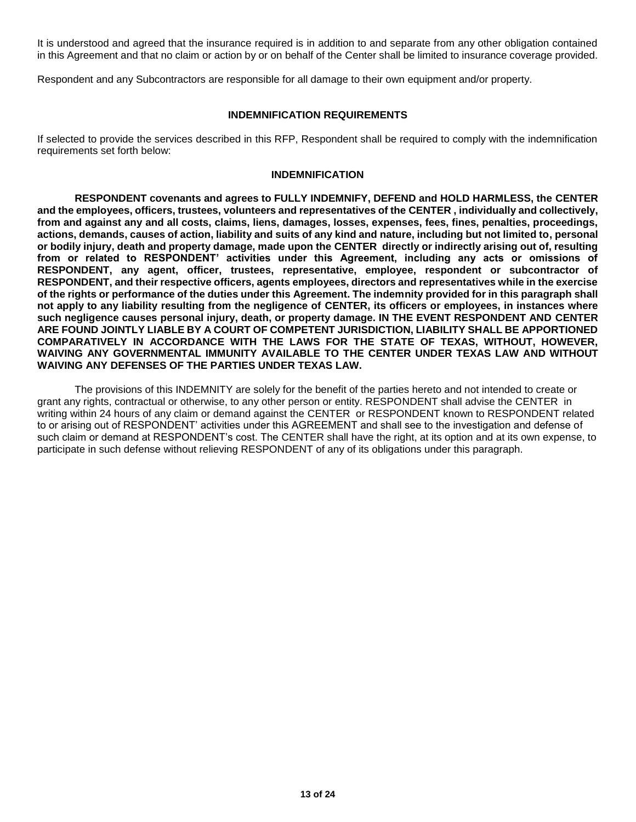It is understood and agreed that the insurance required is in addition to and separate from any other obligation contained in this Agreement and that no claim or action by or on behalf of the Center shall be limited to insurance coverage provided.

Respondent and any Subcontractors are responsible for all damage to their own equipment and/or property.

## **INDEMNIFICATION REQUIREMENTS**

If selected to provide the services described in this RFP, Respondent shall be required to comply with the indemnification requirements set forth below:

#### **INDEMNIFICATION**

**RESPONDENT covenants and agrees to FULLY INDEMNIFY, DEFEND and HOLD HARMLESS, the CENTER and the employees, officers, trustees, volunteers and representatives of the CENTER , individually and collectively, from and against any and all costs, claims, liens, damages, losses, expenses, fees, fines, penalties, proceedings, actions, demands, causes of action, liability and suits of any kind and nature, including but not limited to, personal or bodily injury, death and property damage, made upon the CENTER directly or indirectly arising out of, resulting from or related to RESPONDENT' activities under this Agreement, including any acts or omissions of RESPONDENT, any agent, officer, trustees, representative, employee, respondent or subcontractor of RESPONDENT, and their respective officers, agents employees, directors and representatives while in the exercise of the rights or performance of the duties under this Agreement. The indemnity provided for in this paragraph shall not apply to any liability resulting from the negligence of CENTER, its officers or employees, in instances where such negligence causes personal injury, death, or property damage. IN THE EVENT RESPONDENT AND CENTER ARE FOUND JOINTLY LIABLE BY A COURT OF COMPETENT JURISDICTION, LIABILITY SHALL BE APPORTIONED COMPARATIVELY IN ACCORDANCE WITH THE LAWS FOR THE STATE OF TEXAS, WITHOUT, HOWEVER, WAIVING ANY GOVERNMENTAL IMMUNITY AVAILABLE TO THE CENTER UNDER TEXAS LAW AND WITHOUT WAIVING ANY DEFENSES OF THE PARTIES UNDER TEXAS LAW.**

The provisions of this INDEMNITY are solely for the benefit of the parties hereto and not intended to create or grant any rights, contractual or otherwise, to any other person or entity. RESPONDENT shall advise the CENTER in writing within 24 hours of any claim or demand against the CENTER or RESPONDENT known to RESPONDENT related to or arising out of RESPONDENT' activities under this AGREEMENT and shall see to the investigation and defense of such claim or demand at RESPONDENT's cost. The CENTER shall have the right, at its option and at its own expense, to participate in such defense without relieving RESPONDENT of any of its obligations under this paragraph.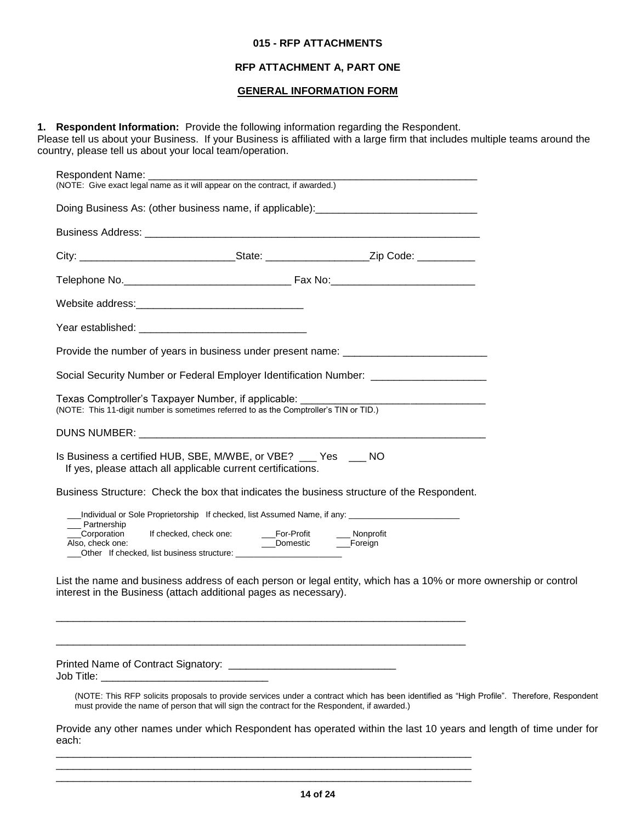#### **015 - RFP ATTACHMENTS**

#### **RFP ATTACHMENT A, PART ONE**

# **GENERAL INFORMATION FORM**

## <span id="page-13-0"></span>**1. Respondent Information:** Provide the following information regarding the Respondent.

Please tell us about your Business. If your Business is affiliated with a large firm that includes multiple teams around the country, please tell us about your local team/operation.

| Respondent Name:<br>(NOTE: Give exact legal name as it will appear on the contract, if awarded.)                                                                                                                                                  |
|---------------------------------------------------------------------------------------------------------------------------------------------------------------------------------------------------------------------------------------------------|
| Doing Business As: (other business name, if applicable): _______________________                                                                                                                                                                  |
|                                                                                                                                                                                                                                                   |
|                                                                                                                                                                                                                                                   |
|                                                                                                                                                                                                                                                   |
|                                                                                                                                                                                                                                                   |
|                                                                                                                                                                                                                                                   |
| Provide the number of years in business under present name: _____________________                                                                                                                                                                 |
| Social Security Number or Federal Employer Identification Number: _______________                                                                                                                                                                 |
| Texas Comptroller's Taxpayer Number, if applicable:<br>(NOTE: This 11-digit number is sometimes referred to as the Comptroller's TIN or TID.)                                                                                                     |
|                                                                                                                                                                                                                                                   |
| Is Business a certified HUB, SBE, M/WBE, or VBE? ___ Yes ___ NO<br>If yes, please attach all applicable current certifications.                                                                                                                   |
| Business Structure: Check the box that indicates the business structure of the Respondent.                                                                                                                                                        |
| __Individual or Sole Proprietorship If checked, list Assumed Name, if any: ________________________<br>__ Partnership<br>___Corporation<br>If checked, check one:<br>___For-Profit<br>___Domestic<br>___ Nonprofit<br>Also, check one:<br>Foreign |
| List the name and business address of each person or legal entity, which has a 10% or more ownership or control<br>interest in the Business (attach additional pages as necessary).                                                               |
| Job Title:                                                                                                                                                                                                                                        |

(NOTE: This RFP solicits proposals to provide services under a contract which has been identified as "High Profile". Therefore, Respondent must provide the name of person that will sign the contract for the Respondent, if awarded.)

Provide any other names under which Respondent has operated within the last 10 years and length of time under for each:

\_\_\_\_\_\_\_\_\_\_\_\_\_\_\_\_\_\_\_\_\_\_\_\_\_\_\_\_\_\_\_\_\_\_\_\_\_\_\_\_\_\_\_\_\_\_\_\_\_\_\_\_\_\_\_\_\_\_\_\_\_\_\_\_\_\_\_\_\_\_\_\_ \_\_\_\_\_\_\_\_\_\_\_\_\_\_\_\_\_\_\_\_\_\_\_\_\_\_\_\_\_\_\_\_\_\_\_\_\_\_\_\_\_\_\_\_\_\_\_\_\_\_\_\_\_\_\_\_\_\_\_\_\_\_\_\_\_\_\_\_\_\_\_\_ \_\_\_\_\_\_\_\_\_\_\_\_\_\_\_\_\_\_\_\_\_\_\_\_\_\_\_\_\_\_\_\_\_\_\_\_\_\_\_\_\_\_\_\_\_\_\_\_\_\_\_\_\_\_\_\_\_\_\_\_\_\_\_\_\_\_\_\_\_\_\_\_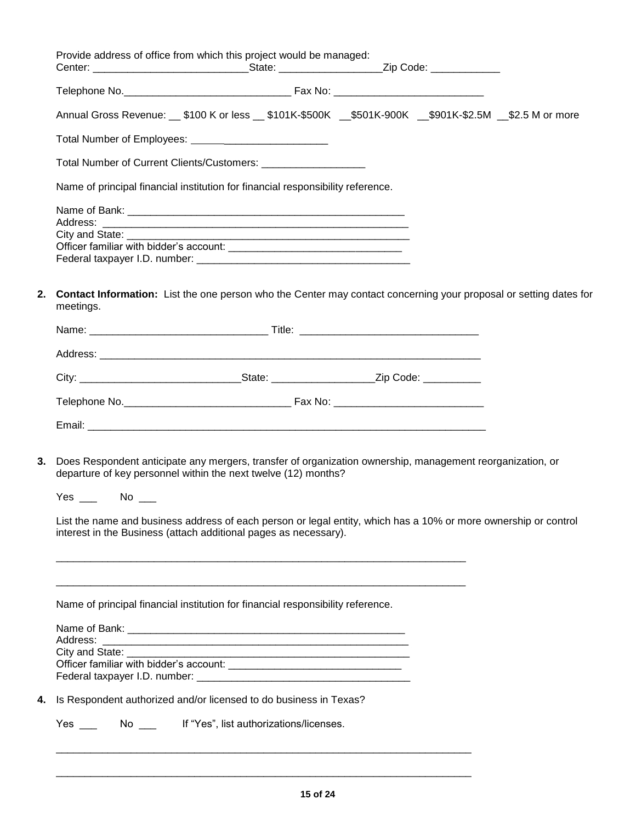|                                | Provide address of office from which this project would be managed:                                                                                                                                                                                                                                                                                                |  |  |
|--------------------------------|--------------------------------------------------------------------------------------------------------------------------------------------------------------------------------------------------------------------------------------------------------------------------------------------------------------------------------------------------------------------|--|--|
|                                |                                                                                                                                                                                                                                                                                                                                                                    |  |  |
|                                | Annual Gross Revenue: __ \$100 K or less __ \$101K-\$500K __\$501K-900K __\$901K-\$2.5M __\$2.5 M or more                                                                                                                                                                                                                                                          |  |  |
|                                |                                                                                                                                                                                                                                                                                                                                                                    |  |  |
|                                | Total Number of Current Clients/Customers: ______________________                                                                                                                                                                                                                                                                                                  |  |  |
|                                | Name of principal financial institution for financial responsibility reference.                                                                                                                                                                                                                                                                                    |  |  |
|                                |                                                                                                                                                                                                                                                                                                                                                                    |  |  |
| City and State: ________       |                                                                                                                                                                                                                                                                                                                                                                    |  |  |
|                                |                                                                                                                                                                                                                                                                                                                                                                    |  |  |
| 2.<br>meetings.                | <b>Contact Information:</b> List the one person who the Center may contact concerning your proposal or setting dates for                                                                                                                                                                                                                                           |  |  |
|                                |                                                                                                                                                                                                                                                                                                                                                                    |  |  |
|                                |                                                                                                                                                                                                                                                                                                                                                                    |  |  |
|                                |                                                                                                                                                                                                                                                                                                                                                                    |  |  |
|                                |                                                                                                                                                                                                                                                                                                                                                                    |  |  |
|                                |                                                                                                                                                                                                                                                                                                                                                                    |  |  |
| 3.<br>$Yes \_\_\_$ No $\_\_\_$ | Does Respondent anticipate any mergers, transfer of organization ownership, management reorganization, or<br>departure of key personnel within the next twelve (12) months?<br>List the name and business address of each person or legal entity, which has a 10% or more ownership or control<br>interest in the Business (attach additional pages as necessary). |  |  |
|                                | Name of principal financial institution for financial responsibility reference.                                                                                                                                                                                                                                                                                    |  |  |
|                                |                                                                                                                                                                                                                                                                                                                                                                    |  |  |
|                                |                                                                                                                                                                                                                                                                                                                                                                    |  |  |
| City and State: __________     |                                                                                                                                                                                                                                                                                                                                                                    |  |  |
|                                |                                                                                                                                                                                                                                                                                                                                                                    |  |  |
|                                |                                                                                                                                                                                                                                                                                                                                                                    |  |  |
|                                | Is Respondent authorized and/or licensed to do business in Texas?                                                                                                                                                                                                                                                                                                  |  |  |
| <b>Yes</b>                     | No ______ If "Yes", list authorizations/licenses.                                                                                                                                                                                                                                                                                                                  |  |  |
|                                |                                                                                                                                                                                                                                                                                                                                                                    |  |  |

\_\_\_\_\_\_\_\_\_\_\_\_\_\_\_\_\_\_\_\_\_\_\_\_\_\_\_\_\_\_\_\_\_\_\_\_\_\_\_\_\_\_\_\_\_\_\_\_\_\_\_\_\_\_\_\_\_\_\_\_\_\_\_\_\_\_\_\_\_\_\_\_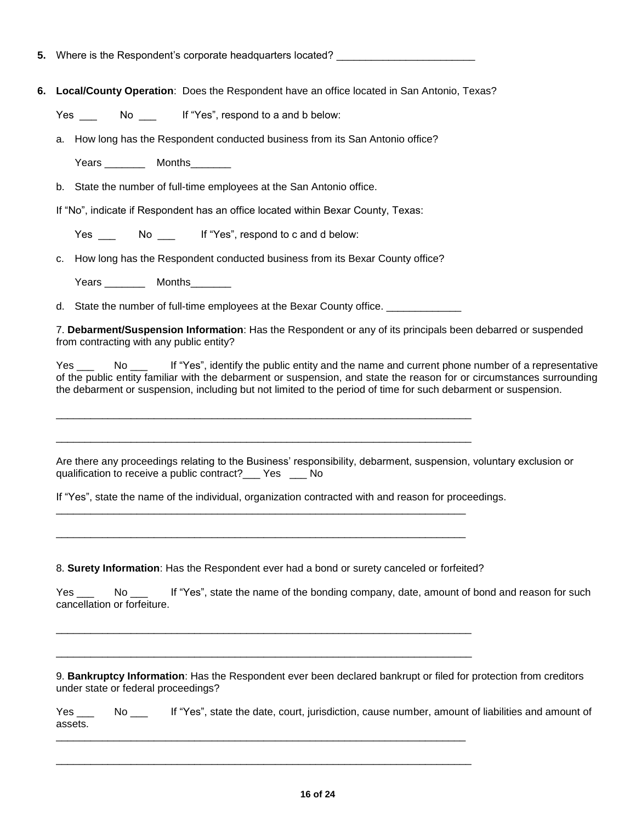**5.** Where is the Respondent's corporate headquarters located? \_\_\_\_\_\_\_\_\_\_\_\_\_\_\_\_\_\_

**6. Local/County Operation**: Does the Respondent have an office located in San Antonio, Texas?

Yes \_\_\_ No \_\_\_ If "Yes", respond to a and b below:

a. How long has the Respondent conducted business from its San Antonio office?

Years Months

b. State the number of full-time employees at the San Antonio office.

If "No", indicate if Respondent has an office located within Bexar County, Texas:

Yes \_\_\_ No \_\_ If "Yes", respond to c and d below:

c. How long has the Respondent conducted business from its Bexar County office?

Years \_\_\_\_\_\_\_\_\_\_ Months\_\_\_\_\_\_\_\_

d. State the number of full-time employees at the Bexar County office.

\_\_\_\_\_\_\_\_\_\_\_\_\_\_\_\_\_\_\_\_\_\_\_\_\_\_\_\_\_\_\_\_\_\_\_\_\_\_\_\_\_\_\_\_\_\_\_\_\_\_\_\_\_\_\_\_\_\_\_\_\_\_\_\_\_\_\_\_\_\_\_\_

\_\_\_\_\_\_\_\_\_\_\_\_\_\_\_\_\_\_\_\_\_\_\_\_\_\_\_\_\_\_\_\_\_\_\_\_\_\_\_\_\_\_\_\_\_\_\_\_\_\_\_\_\_\_\_\_\_\_\_\_\_\_\_\_\_\_\_\_\_\_\_\_

\_\_\_\_\_\_\_\_\_\_\_\_\_\_\_\_\_\_\_\_\_\_\_\_\_\_\_\_\_\_\_\_\_\_\_\_\_\_\_\_\_\_\_\_\_\_\_\_\_\_\_\_\_\_\_\_\_\_\_\_\_\_\_\_\_\_\_\_\_\_\_

\_\_\_\_\_\_\_\_\_\_\_\_\_\_\_\_\_\_\_\_\_\_\_\_\_\_\_\_\_\_\_\_\_\_\_\_\_\_\_\_\_\_\_\_\_\_\_\_\_\_\_\_\_\_\_\_\_\_\_\_\_\_\_\_\_\_\_\_\_\_\_

7. **Debarment/Suspension Information**: Has the Respondent or any of its principals been debarred or suspended from contracting with any public entity?

Yes \_\_\_ No \_\_\_ If "Yes", identify the public entity and the name and current phone number of a representative of the public entity familiar with the debarment or suspension, and state the reason for or circumstances surrounding the debarment or suspension, including but not limited to the period of time for such debarment or suspension.

Are there any proceedings relating to the Business' responsibility, debarment, suspension, voluntary exclusion or qualification to receive a public contract?\_\_\_ Yes \_\_\_ No

If "Yes", state the name of the individual, organization contracted with and reason for proceedings.

8. **Surety Information**: Has the Respondent ever had a bond or surety canceled or forfeited?

\_\_\_\_\_\_\_\_\_\_\_\_\_\_\_\_\_\_\_\_\_\_\_\_\_\_\_\_\_\_\_\_\_\_\_\_\_\_\_\_\_\_\_\_\_\_\_\_\_\_\_\_\_\_\_\_\_\_\_\_\_\_\_\_\_\_\_\_\_\_\_\_

\_\_\_\_\_\_\_\_\_\_\_\_\_\_\_\_\_\_\_\_\_\_\_\_\_\_\_\_\_\_\_\_\_\_\_\_\_\_\_\_\_\_\_\_\_\_\_\_\_\_\_\_\_\_\_\_\_\_\_\_\_\_\_\_\_\_\_\_\_\_\_\_

Yes \_\_\_ No \_\_ If "Yes", state the name of the bonding company, date, amount of bond and reason for such cancellation or forfeiture.

\_\_\_\_\_\_\_\_\_\_\_\_\_\_\_\_\_\_\_\_\_\_\_\_\_\_\_\_\_\_\_\_\_\_\_\_\_\_\_\_\_\_\_\_\_\_\_\_\_\_\_\_\_\_\_\_\_\_\_\_\_\_\_\_\_\_\_\_\_\_\_\_

9. **Bankruptcy Information**: Has the Respondent ever been declared bankrupt or filed for protection from creditors under state or federal proceedings?

Yes \_\_\_ No \_\_ If "Yes", state the date, court, jurisdiction, cause number, amount of liabilities and amount of assets. \_\_\_\_\_\_\_\_\_\_\_\_\_\_\_\_\_\_\_\_\_\_\_\_\_\_\_\_\_\_\_\_\_\_\_\_\_\_\_\_\_\_\_\_\_\_\_\_\_\_\_\_\_\_\_\_\_\_\_\_\_\_\_\_\_\_\_\_\_\_\_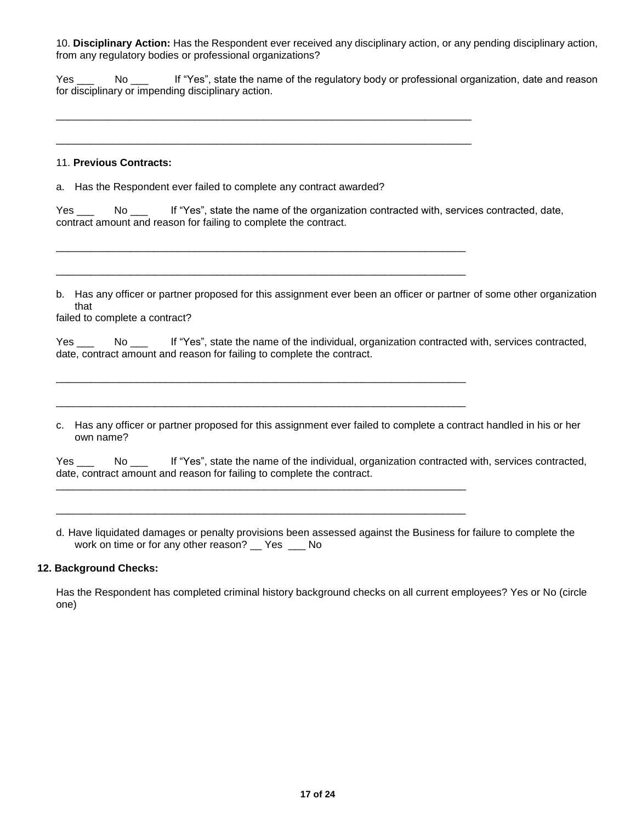10. **Disciplinary Action:** Has the Respondent ever received any disciplinary action, or any pending disciplinary action, from any regulatory bodies or professional organizations?

Yes No If "Yes", state the name of the regulatory body or professional organization, date and reason for disciplinary or impending disciplinary action.

## 11. **Previous Contracts:**

a. Has the Respondent ever failed to complete any contract awarded?

\_\_\_\_\_\_\_\_\_\_\_\_\_\_\_\_\_\_\_\_\_\_\_\_\_\_\_\_\_\_\_\_\_\_\_\_\_\_\_\_\_\_\_\_\_\_\_\_\_\_\_\_\_\_\_\_\_\_\_\_\_\_\_\_\_\_\_\_\_\_\_\_

\_\_\_\_\_\_\_\_\_\_\_\_\_\_\_\_\_\_\_\_\_\_\_\_\_\_\_\_\_\_\_\_\_\_\_\_\_\_\_\_\_\_\_\_\_\_\_\_\_\_\_\_\_\_\_\_\_\_\_\_\_\_\_\_\_\_\_\_\_\_\_\_

\_\_\_\_\_\_\_\_\_\_\_\_\_\_\_\_\_\_\_\_\_\_\_\_\_\_\_\_\_\_\_\_\_\_\_\_\_\_\_\_\_\_\_\_\_\_\_\_\_\_\_\_\_\_\_\_\_\_\_\_\_\_\_\_\_\_\_\_\_\_\_

\_\_\_\_\_\_\_\_\_\_\_\_\_\_\_\_\_\_\_\_\_\_\_\_\_\_\_\_\_\_\_\_\_\_\_\_\_\_\_\_\_\_\_\_\_\_\_\_\_\_\_\_\_\_\_\_\_\_\_\_\_\_\_\_\_\_\_\_\_\_\_

\_\_\_\_\_\_\_\_\_\_\_\_\_\_\_\_\_\_\_\_\_\_\_\_\_\_\_\_\_\_\_\_\_\_\_\_\_\_\_\_\_\_\_\_\_\_\_\_\_\_\_\_\_\_\_\_\_\_\_\_\_\_\_\_\_\_\_\_\_\_\_

\_\_\_\_\_\_\_\_\_\_\_\_\_\_\_\_\_\_\_\_\_\_\_\_\_\_\_\_\_\_\_\_\_\_\_\_\_\_\_\_\_\_\_\_\_\_\_\_\_\_\_\_\_\_\_\_\_\_\_\_\_\_\_\_\_\_\_\_\_\_\_

\_\_\_\_\_\_\_\_\_\_\_\_\_\_\_\_\_\_\_\_\_\_\_\_\_\_\_\_\_\_\_\_\_\_\_\_\_\_\_\_\_\_\_\_\_\_\_\_\_\_\_\_\_\_\_\_\_\_\_\_\_\_\_\_\_\_\_\_\_\_\_

\_\_\_\_\_\_\_\_\_\_\_\_\_\_\_\_\_\_\_\_\_\_\_\_\_\_\_\_\_\_\_\_\_\_\_\_\_\_\_\_\_\_\_\_\_\_\_\_\_\_\_\_\_\_\_\_\_\_\_\_\_\_\_\_\_\_\_\_\_\_\_

Yes No If "Yes", state the name of the organization contracted with, services contracted, date, contract amount and reason for failing to complete the contract.

b. Has any officer or partner proposed for this assignment ever been an officer or partner of some other organization that

failed to complete a contract?

Yes \_\_\_ No \_\_\_ If "Yes", state the name of the individual, organization contracted with, services contracted, date, contract amount and reason for failing to complete the contract.

c. Has any officer or partner proposed for this assignment ever failed to complete a contract handled in his or her own name?

Yes \_\_\_ No \_\_\_ If "Yes", state the name of the individual, organization contracted with, services contracted, date, contract amount and reason for failing to complete the contract.

d. Have liquidated damages or penalty provisions been assessed against the Business for failure to complete the work on time or for any other reason? Yes No

## **12. Background Checks:**

Has the Respondent has completed criminal history background checks on all current employees? Yes or No (circle one)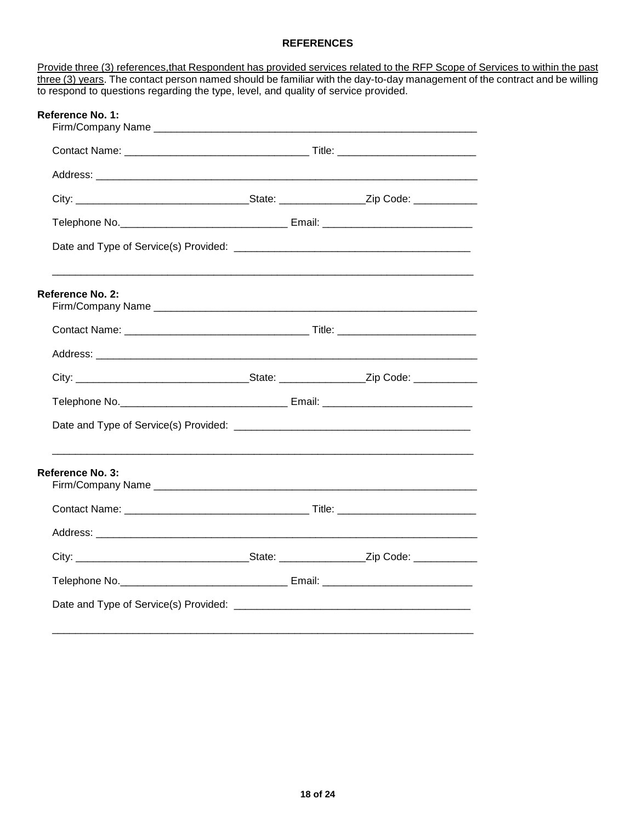# **REFERENCES**

Provide three (3) references, that Respondent has provided services related to the RFP Scope of Services to within the past three (3) years. The contact person named should be familiar with the day-to-day management of the contract and be willing to respond to questions regarding the type, level, and quality of service provided.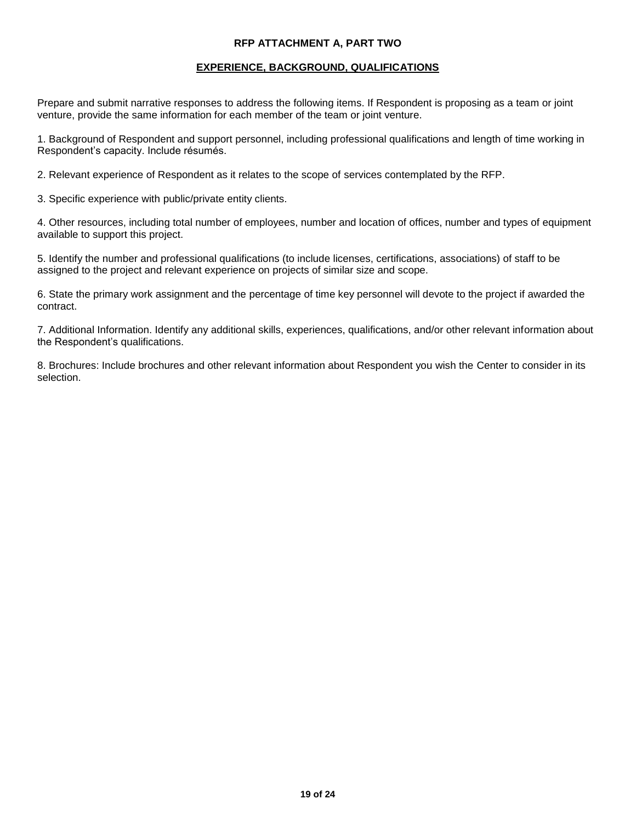## **RFP ATTACHMENT A, PART TWO**

#### **EXPERIENCE, BACKGROUND, QUALIFICATIONS**

Prepare and submit narrative responses to address the following items. If Respondent is proposing as a team or joint venture, provide the same information for each member of the team or joint venture.

1. Background of Respondent and support personnel, including professional qualifications and length of time working in Respondent's capacity. Include résumés.

2. Relevant experience of Respondent as it relates to the scope of services contemplated by the RFP.

3. Specific experience with public/private entity clients.

4. Other resources, including total number of employees, number and location of offices, number and types of equipment available to support this project.

5. Identify the number and professional qualifications (to include licenses, certifications, associations) of staff to be assigned to the project and relevant experience on projects of similar size and scope.

6. State the primary work assignment and the percentage of time key personnel will devote to the project if awarded the contract.

7. Additional Information. Identify any additional skills, experiences, qualifications, and/or other relevant information about the Respondent's qualifications.

8. Brochures: Include brochures and other relevant information about Respondent you wish the Center to consider in its selection.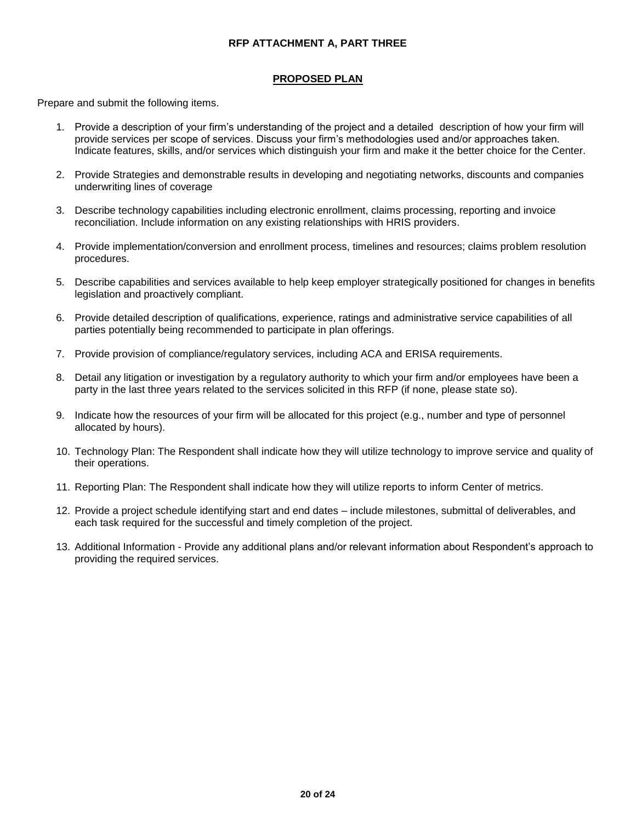# **RFP ATTACHMENT A, PART THREE**

# **PROPOSED PLAN**

Prepare and submit the following items.

- 1. Provide a description of your firm's understanding of the project and a detailed description of how your firm will provide services per scope of services. Discuss your firm's methodologies used and/or approaches taken. Indicate features, skills, and/or services which distinguish your firm and make it the better choice for the Center.
- 2. Provide Strategies and demonstrable results in developing and negotiating networks, discounts and companies underwriting lines of coverage
- 3. Describe technology capabilities including electronic enrollment, claims processing, reporting and invoice reconciliation. Include information on any existing relationships with HRIS providers.
- 4. Provide implementation/conversion and enrollment process, timelines and resources; claims problem resolution procedures.
- 5. Describe capabilities and services available to help keep employer strategically positioned for changes in benefits legislation and proactively compliant.
- 6. Provide detailed description of qualifications, experience, ratings and administrative service capabilities of all parties potentially being recommended to participate in plan offerings.
- 7. Provide provision of compliance/regulatory services, including ACA and ERISA requirements.
- 8. Detail any litigation or investigation by a regulatory authority to which your firm and/or employees have been a party in the last three years related to the services solicited in this RFP (if none, please state so).
- 9. Indicate how the resources of your firm will be allocated for this project (e.g., number and type of personnel allocated by hours).
- 10. Technology Plan: The Respondent shall indicate how they will utilize technology to improve service and quality of their operations.
- 11. Reporting Plan: The Respondent shall indicate how they will utilize reports to inform Center of metrics.
- 12. Provide a project schedule identifying start and end dates include milestones, submittal of deliverables, and each task required for the successful and timely completion of the project.
- 13. Additional Information Provide any additional plans and/or relevant information about Respondent's approach to providing the required services.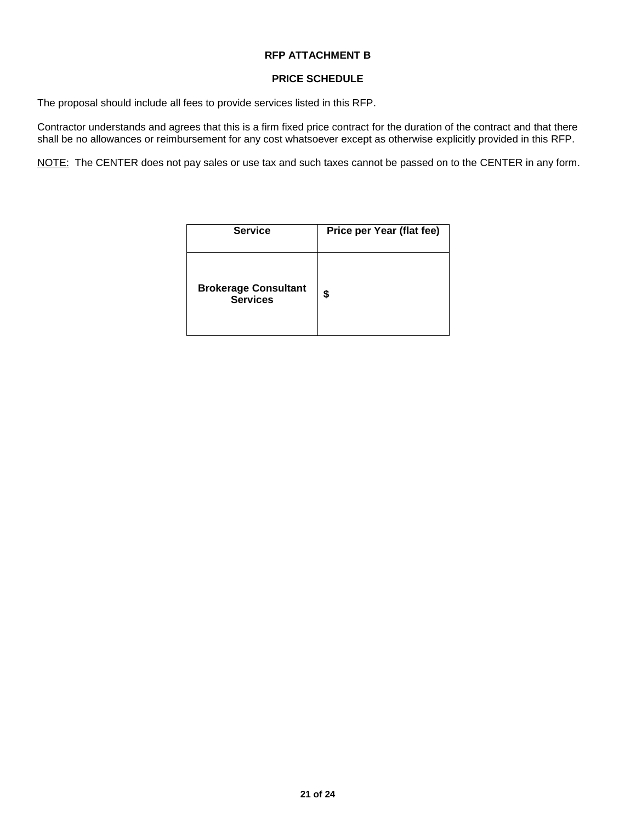# **RFP ATTACHMENT B**

#### **PRICE SCHEDULE**

The proposal should include all fees to provide services listed in this RFP.

Contractor understands and agrees that this is a firm fixed price contract for the duration of the contract and that there shall be no allowances or reimbursement for any cost whatsoever except as otherwise explicitly provided in this RFP.

NOTE: The CENTER does not pay sales or use tax and such taxes cannot be passed on to the CENTER in any form.

| <b>Service</b>                                 | Price per Year (flat fee) |
|------------------------------------------------|---------------------------|
| <b>Brokerage Consultant</b><br><b>Services</b> | \$                        |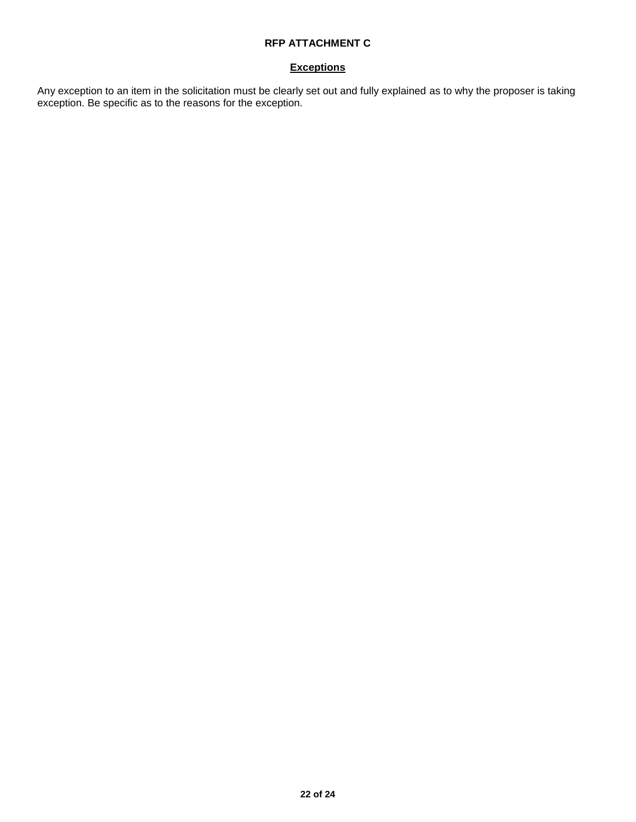# **RFP ATTACHMENT C**

# **Exceptions**

Any exception to an item in the solicitation must be clearly set out and fully explained as to why the proposer is taking exception. Be specific as to the reasons for the exception.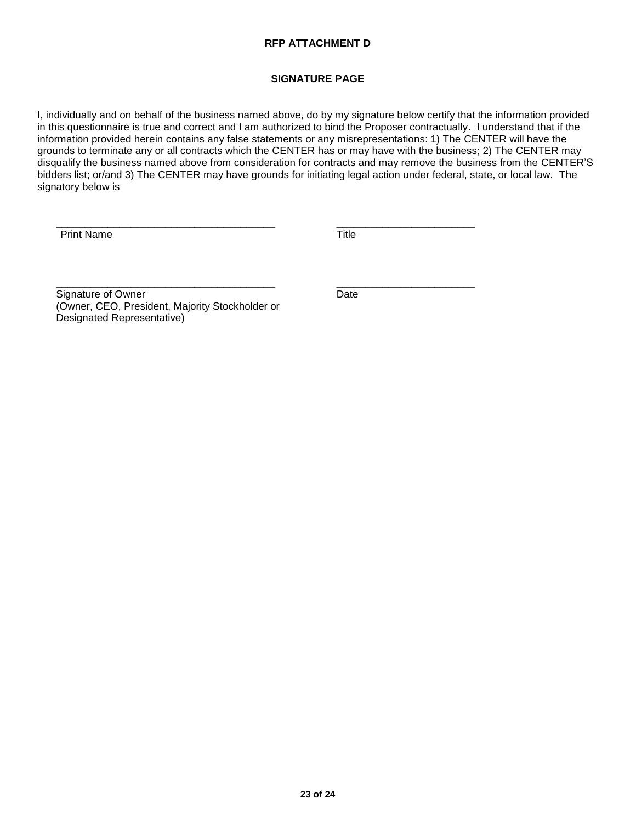# **RFP ATTACHMENT D**

# **SIGNATURE PAGE**

I, individually and on behalf of the business named above, do by my signature below certify that the information provided in this questionnaire is true and correct and I am authorized to bind the Proposer contractually. I understand that if the information provided herein contains any false statements or any misrepresentations: 1) The CENTER will have the grounds to terminate any or all contracts which the CENTER has or may have with the business; 2) The CENTER may disqualify the business named above from consideration for contracts and may remove the business from the CENTER'S bidders list; or/and 3) The CENTER may have grounds for initiating legal action under federal, state, or local law. The signatory below is

\_\_\_\_\_\_\_\_\_\_\_\_\_\_\_\_\_\_\_\_\_\_\_\_\_\_\_\_\_\_\_\_\_\_\_\_\_\_ \_\_\_\_\_\_\_\_\_\_\_\_\_\_\_\_\_\_\_\_\_\_\_\_

Print Name Title

\_\_\_\_\_\_\_\_\_\_\_\_\_\_\_\_\_\_\_\_\_\_\_\_\_\_\_\_\_\_\_\_\_\_\_\_\_\_ \_\_\_\_\_\_\_\_\_\_\_\_\_\_\_\_\_\_\_\_\_\_\_\_ Signature of Owner **Date** Date (Owner, CEO, President, Majority Stockholder or Designated Representative)